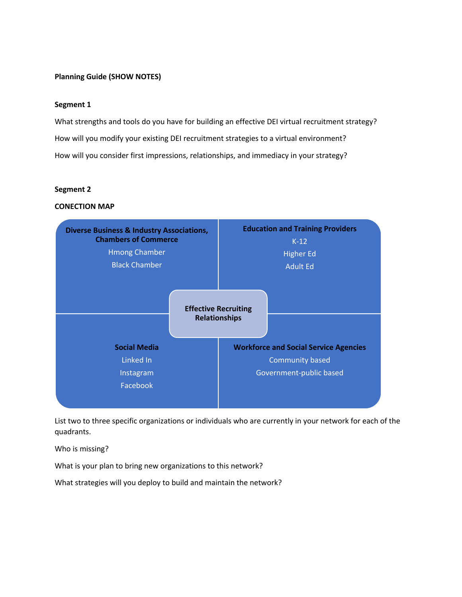# **Planning Guide (SHOW NOTES)**

### **Segment 1**

What strengths and tools do you have for building an effective DEI virtual recruitment strategy? How will you modify your existing DEI recruitment strategies to a virtual environment? How will you consider first impressions, relationships, and immediacy in your strategy?

#### **Segment 2**

### **CONECTION MAP**



List two to three specific organizations or individuals who are currently in your network for each of the quadrants.

Who is missing?

What is your plan to bring new organizations to this network?

What strategies will you deploy to build and maintain the network?